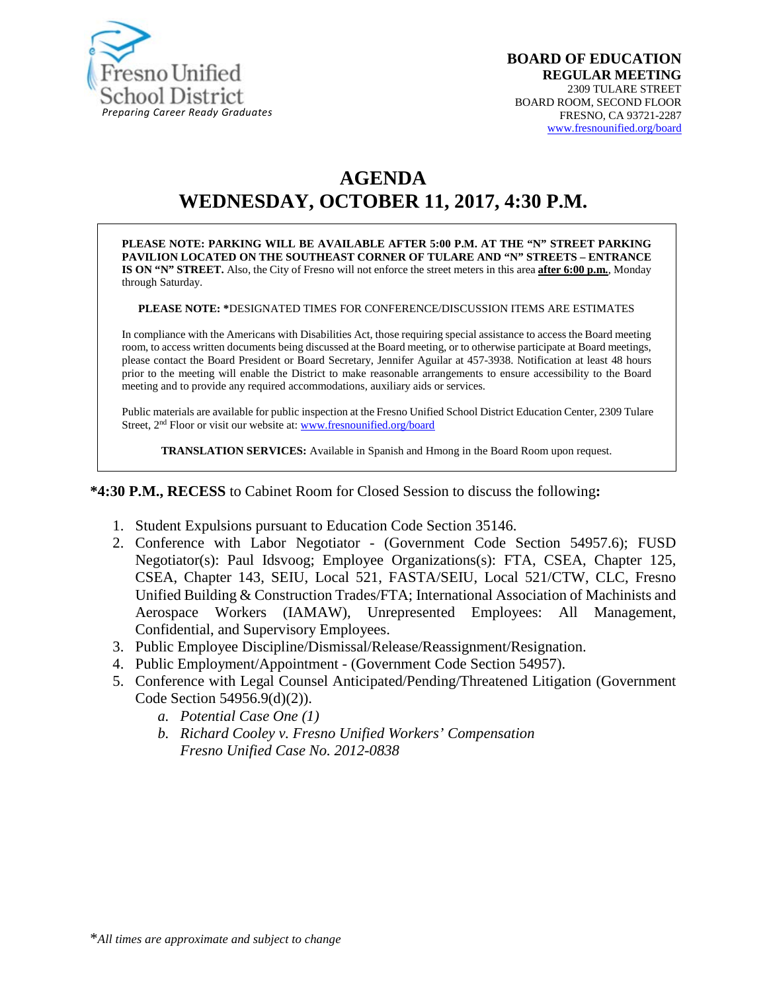

# **AGENDA WEDNESDAY, OCTOBER 11, 2017, 4:30 P.M.**

**PLEASE NOTE: PARKING WILL BE AVAILABLE AFTER 5:00 P.M. AT THE "N" STREET PARKING PAVILION LOCATED ON THE SOUTHEAST CORNER OF TULARE AND "N" STREETS – ENTRANCE IS ON "N" STREET.** Also, the City of Fresno will not enforce the street meters in this area **after 6:00 p.m.**, Monday through Saturday.

**PLEASE NOTE: \***DESIGNATED TIMES FOR CONFERENCE/DISCUSSION ITEMS ARE ESTIMATES

In compliance with the Americans with Disabilities Act, those requiring special assistance to access the Board meeting room, to access written documents being discussed at the Board meeting, or to otherwise participate at Board meetings, please contact the Board President or Board Secretary, Jennifer Aguilar at 457-3938. Notification at least 48 hours prior to the meeting will enable the District to make reasonable arrangements to ensure accessibility to the Board meeting and to provide any required accommodations, auxiliary aids or services.

Public materials are available for public inspection at the Fresno Unified School District Education Center, 2309 Tulare Street, 2<sup>nd</sup> Floor or visit our website at: [www.fresnounified.org/board](http://www.fresnounified.org/board)

**TRANSLATION SERVICES:** Available in Spanish and Hmong in the Board Room upon request.

**\*4:30 P.M., RECESS** to Cabinet Room for Closed Session to discuss the following**:**

- 1. Student Expulsions pursuant to Education Code Section 35146.
- 2. Conference with Labor Negotiator (Government Code Section 54957.6); FUSD Negotiator(s): Paul Idsvoog; Employee Organizations(s): FTA, CSEA, Chapter 125, CSEA, Chapter 143, SEIU, Local 521, FASTA/SEIU, Local 521/CTW, CLC, Fresno Unified Building & Construction Trades/FTA; International Association of Machinists and Aerospace Workers (IAMAW), Unrepresented Employees: All Management, Confidential, and Supervisory Employees.
- 3. Public Employee Discipline/Dismissal/Release/Reassignment/Resignation.
- 4. Public Employment/Appointment (Government Code Section 54957).
- 5. Conference with Legal Counsel Anticipated/Pending/Threatened Litigation (Government Code Section 54956.9(d)(2)).
	- *a. Potential Case One (1)*
	- *b. Richard Cooley v. Fresno Unified Workers' Compensation Fresno Unified Case No. 2012-0838*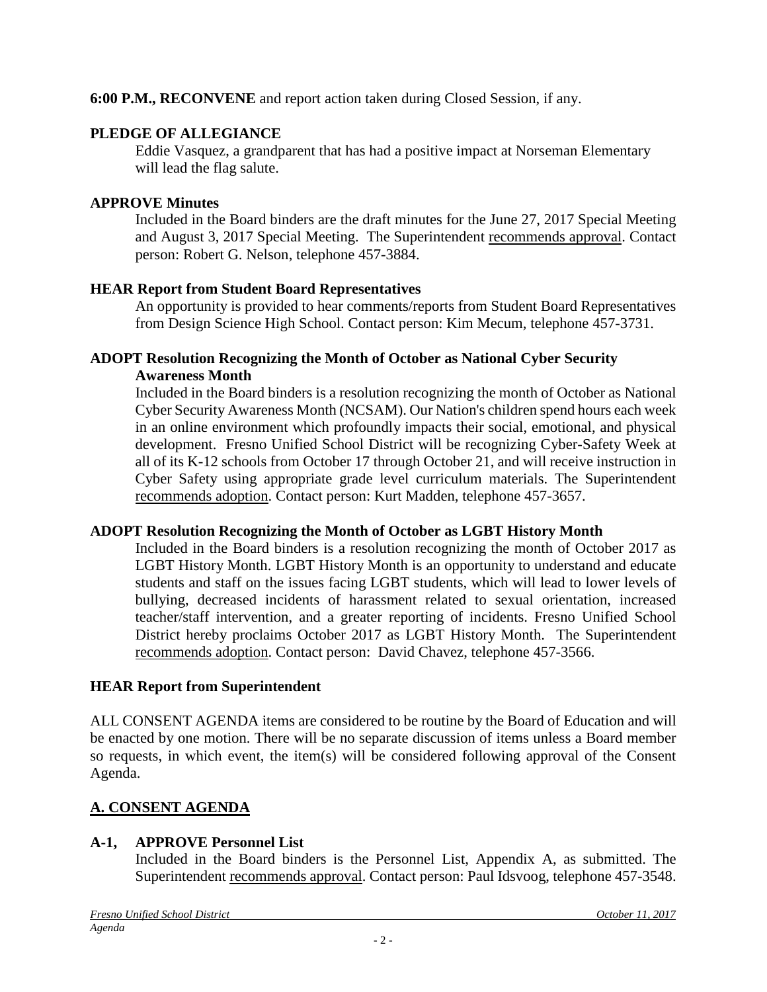**6:00 P.M., RECONVENE** and report action taken during Closed Session, if any.

## **PLEDGE OF ALLEGIANCE**

Eddie Vasquez, a grandparent that has had a positive impact at Norseman Elementary will lead the flag salute.

## **APPROVE Minutes**

Included in the Board binders are the draft minutes for the June 27, 2017 Special Meeting and August 3, 2017 Special Meeting. The Superintendent recommends approval. Contact person: Robert G. Nelson, telephone 457-3884.

## **HEAR Report from Student Board Representatives**

An opportunity is provided to hear comments/reports from Student Board Representatives from Design Science High School. Contact person: Kim Mecum, telephone 457-3731.

### **ADOPT Resolution Recognizing the Month of October as National Cyber Security Awareness Month**

Included in the Board binders is a resolution recognizing the month of October as National Cyber Security Awareness Month (NCSAM). Our Nation's children spend hours each week in an online environment which profoundly impacts their social, emotional, and physical development. Fresno Unified School District will be recognizing Cyber-Safety Week at all of its K-12 schools from October 17 through October 21, and will receive instruction in Cyber Safety using appropriate grade level curriculum materials. The Superintendent recommends adoption. Contact person: Kurt Madden, telephone 457-3657.

## **ADOPT Resolution Recognizing the Month of October as LGBT History Month**

Included in the Board binders is a resolution recognizing the month of October 2017 as LGBT History Month. LGBT History Month is an opportunity to understand and educate students and staff on the issues facing LGBT students, which will lead to lower levels of bullying, decreased incidents of harassment related to sexual orientation, increased teacher/staff intervention, and a greater reporting of incidents. Fresno Unified School District hereby proclaims October 2017 as LGBT History Month. The Superintendent recommends adoption. Contact person: David Chavez, telephone 457-3566.

## **HEAR Report from Superintendent**

ALL CONSENT AGENDA items are considered to be routine by the Board of Education and will be enacted by one motion. There will be no separate discussion of items unless a Board member so requests, in which event, the item(s) will be considered following approval of the Consent Agenda.

## **A. CONSENT AGENDA**

## **A-1, APPROVE Personnel List**

Included in the Board binders is the Personnel List, Appendix A, as submitted. The Superintendent recommends approval. Contact person: Paul Idsvoog, telephone 457-3548.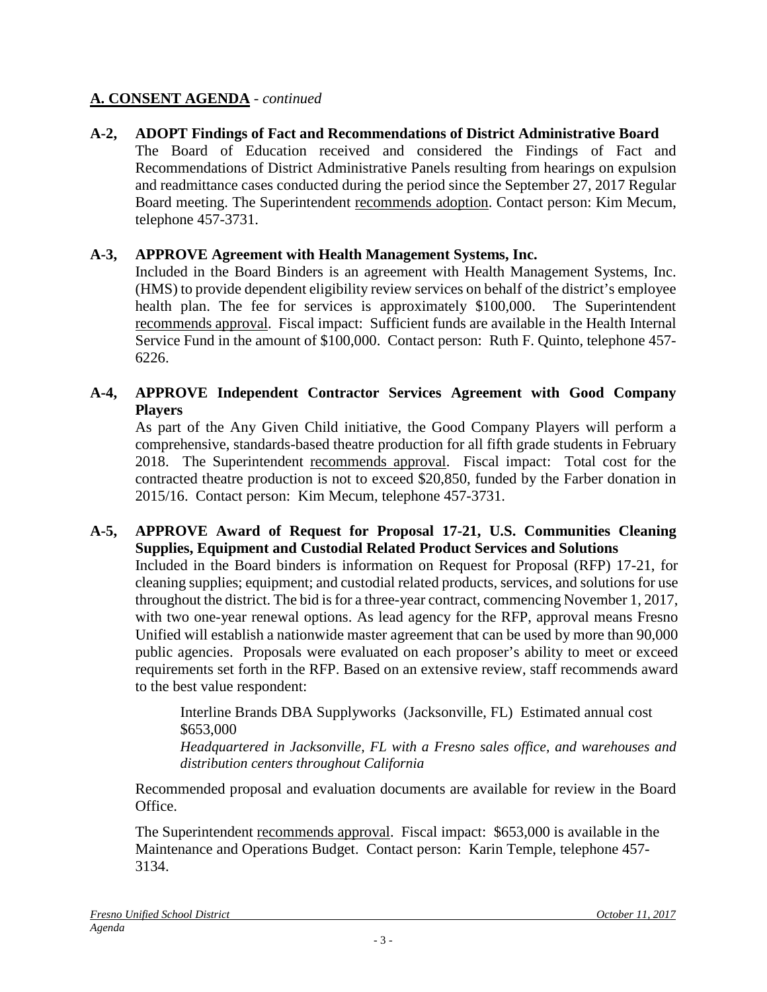## **A. CONSENT AGENDA** - *continued*

**A-2, ADOPT Findings of Fact and Recommendations of District Administrative Board** The Board of Education received and considered the Findings of Fact and Recommendations of District Administrative Panels resulting from hearings on expulsion and readmittance cases conducted during the period since the September 27, 2017 Regular Board meeting. The Superintendent recommends adoption. Contact person: Kim Mecum, telephone 457-3731.

#### **A-3, APPROVE Agreement with Health Management Systems, Inc.**

Included in the Board Binders is an agreement with Health Management Systems, Inc. (HMS) to provide dependent eligibility review services on behalf of the district's employee health plan. The fee for services is approximately \$100,000. The Superintendent recommends approval. Fiscal impact: Sufficient funds are available in the Health Internal Service Fund in the amount of \$100,000. Contact person: Ruth F. Quinto, telephone 457- 6226.

### **A-4, APPROVE Independent Contractor Services Agreement with Good Company Players**

As part of the Any Given Child initiative, the Good Company Players will perform a comprehensive, standards-based theatre production for all fifth grade students in February 2018. The Superintendent recommends approval. Fiscal impact: Total cost for the contracted theatre production is not to exceed \$20,850, funded by the Farber donation in 2015/16. Contact person: Kim Mecum, telephone 457-3731.

#### **A-5, APPROVE Award of Request for Proposal 17-21, U.S. Communities Cleaning Supplies, Equipment and Custodial Related Product Services and Solutions**

Included in the Board binders is information on Request for Proposal (RFP) 17-21, for cleaning supplies; equipment; and custodial related products, services, and solutions for use throughout the district. The bid is for a three-year contract, commencing November 1, 2017, with two one-year renewal options. As lead agency for the RFP, approval means Fresno Unified will establish a nationwide master agreement that can be used by more than 90,000 public agencies. Proposals were evaluated on each proposer's ability to meet or exceed requirements set forth in the RFP. Based on an extensive review, staff recommends award to the best value respondent:

Interline Brands DBA Supplyworks (Jacksonville, FL) Estimated annual cost \$653,000

*Headquartered in Jacksonville, FL with a Fresno sales office, and warehouses and distribution centers throughout California*

Recommended proposal and evaluation documents are available for review in the Board Office.

The Superintendent recommends approval. Fiscal impact: \$653,000 is available in the Maintenance and Operations Budget. Contact person: Karin Temple, telephone 457- 3134.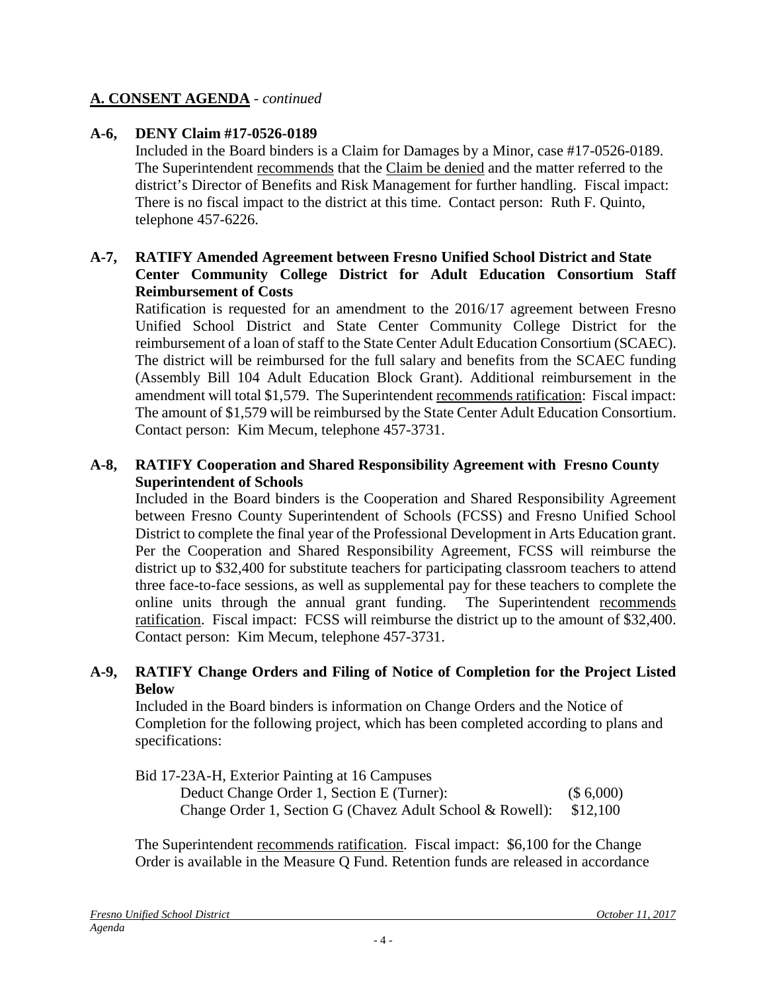## **A. CONSENT AGENDA** - *continued*

### **A-6, DENY Claim #17-0526-0189**

Included in the Board binders is a Claim for Damages by a Minor, case #17-0526-0189. The Superintendent recommends that the Claim be denied and the matter referred to the district's Director of Benefits and Risk Management for further handling. Fiscal impact: There is no fiscal impact to the district at this time. Contact person: Ruth F. Quinto, telephone 457-6226.

#### **A-7, RATIFY Amended Agreement between Fresno Unified School District and State Center Community College District for Adult Education Consortium Staff Reimbursement of Costs**

Ratification is requested for an amendment to the 2016/17 agreement between Fresno Unified School District and State Center Community College District for the reimbursement of a loan of staff to the State Center Adult Education Consortium (SCAEC). The district will be reimbursed for the full salary and benefits from the SCAEC funding (Assembly Bill 104 Adult Education Block Grant). Additional reimbursement in the amendment will total \$1,579. The Superintendent recommends ratification: Fiscal impact: The amount of \$1,579 will be reimbursed by the State Center Adult Education Consortium. Contact person: Kim Mecum, telephone 457-3731.

#### **A-8, RATIFY Cooperation and Shared Responsibility Agreement with Fresno County Superintendent of Schools**

Included in the Board binders is the Cooperation and Shared Responsibility Agreement between Fresno County Superintendent of Schools (FCSS) and Fresno Unified School District to complete the final year of the Professional Development in Arts Education grant. Per the Cooperation and Shared Responsibility Agreement, FCSS will reimburse the district up to \$32,400 for substitute teachers for participating classroom teachers to attend three face-to-face sessions, as well as supplemental pay for these teachers to complete the online units through the annual grant funding. The Superintendent recommends ratification. Fiscal impact: FCSS will reimburse the district up to the amount of \$32,400. Contact person: Kim Mecum, telephone 457-3731.

#### **A-9, RATIFY Change Orders and Filing of Notice of Completion for the Project Listed Below**

Included in the Board binders is information on Change Orders and the Notice of Completion for the following project, which has been completed according to plans and specifications:

| Bid 17-23A-H, Exterior Painting at 16 Campuses            |           |
|-----------------------------------------------------------|-----------|
| Deduct Change Order 1, Section E (Turner):                | (\$6,000) |
| Change Order 1, Section G (Chavez Adult School & Rowell): | \$12.100  |

The Superintendent recommends ratification. Fiscal impact: \$6,100 for the Change Order is available in the Measure Q Fund. Retention funds are released in accordance